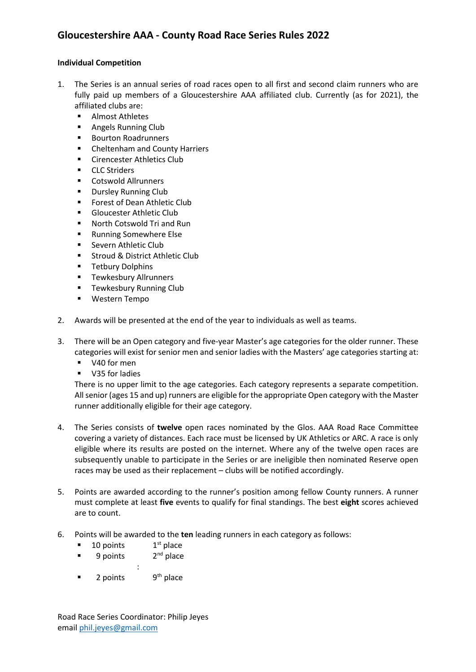## **Gloucestershire AAA - County Road Race Series Rules 2022**

## **Individual Competition**

- 1. The Series is an annual series of road races open to all first and second claim runners who are fully paid up members of a Gloucestershire AAA affiliated club. Currently (as for 2021), the affiliated clubs are:
	- Almost Athletes
	- Angels Running Club
	- Bourton Roadrunners
	- Cheltenham and County Harriers
	- Cirencester Athletics Club
	- CLC Striders
	- Cotswold Allrunners
	- Dursley Running Club
	- Forest of Dean Athletic Club
	- Gloucester Athletic Club
	- North Cotswold Tri and Run
	- Running Somewhere Else
	- Severn Athletic Club
	- Stroud & District Athletic Club
	- Tetbury Dolphins
	- Tewkesbury Allrunners
	- **■** Tewkesbury Running Club
	- Western Tempo
- 2. Awards will be presented at the end of the year to individuals as well as teams.
- 3. There will be an Open category and five-year Master's age categories for the older runner. These categories will exist for senior men and senior ladies with the Masters' age categories starting at:
	- V40 for men
	- V35 for ladies

There is no upper limit to the age categories. Each category represents a separate competition. All senior (ages 15 and up) runners are eligible for the appropriate Open category with the Master runner additionally eligible for their age category.

- 4. The Series consists of **twelve** open races nominated by the Glos. AAA Road Race Committee covering a variety of distances. Each race must be licensed by UK Athletics or ARC. A race is only eligible where its results are posted on the internet. Where any of the twelve open races are subsequently unable to participate in the Series or are ineligible then nominated Reserve open races may be used as their replacement – clubs will be notified accordingly.
- 5. Points are awarded according to the runner's position among fellow County runners. A runner must complete at least **five** events to qualify for final standings. The best **eight** scores achieved are to count.
- 6. Points will be awarded to the **ten** leading runners in each category as follows:
	- $\blacksquare$  10 points  $1<sup>st</sup>$  place
	- $\blacksquare$  9 points  $2<sup>nd</sup>$  place
	- :
	- $\blacksquare$  2 points  $9<sup>th</sup>$  place

Road Race Series Coordinator: Philip Jeyes email [phil.jeyes@gmail.com](mailto:phil.jeyes@gmail.com)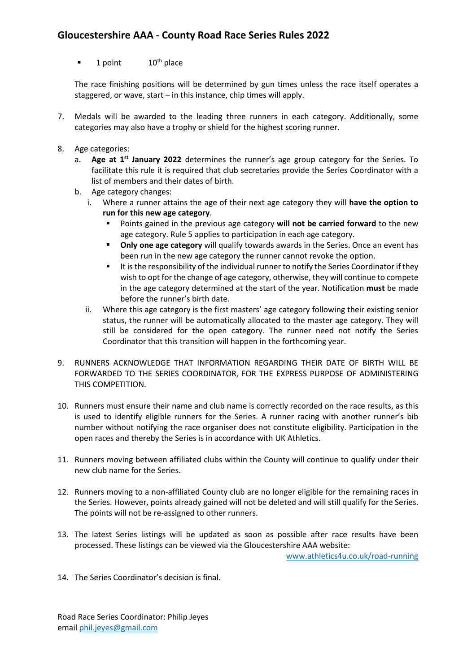## **Gloucestershire AAA - County Road Race Series Rules 2022**

 $\blacksquare$  1 point 10<sup>th</sup> place

The race finishing positions will be determined by gun times unless the race itself operates a staggered, or wave, start – in this instance, chip times will apply.

- 7. Medals will be awarded to the leading three runners in each category. Additionally, some categories may also have a trophy or shield for the highest scoring runner.
- 8. Age categories:
	- a. Age at 1<sup>st</sup> January 2022 determines the runner's age group category for the Series. To facilitate this rule it is required that club secretaries provide the Series Coordinator with a list of members and their dates of birth.
	- b. Age category changes:
		- i. Where a runner attains the age of their next age category they will **have the option to run for this new age category**.
			- Points gained in the previous age category **will not be carried forward** to the new age category. Rule 5 applies to participation in each age category.
			- **Only one age category** will qualify towards awards in the Series. Once an event has been run in the new age category the runner cannot revoke the option.
			- It is the responsibility of the individual runner to notify the Series Coordinator if they wish to opt for the change of age category, otherwise, they will continue to compete in the age category determined at the start of the year. Notification **must** be made before the runner's birth date.
		- ii. Where this age category is the first masters' age category following their existing senior status, the runner will be automatically allocated to the master age category. They will still be considered for the open category. The runner need not notify the Series Coordinator that this transition will happen in the forthcoming year.
- 9. RUNNERS ACKNOWLEDGE THAT INFORMATION REGARDING THEIR DATE OF BIRTH WILL BE FORWARDED TO THE SERIES COORDINATOR, FOR THE EXPRESS PURPOSE OF ADMINISTERING THIS COMPETITION.
- 10. Runners must ensure their name and club name is correctly recorded on the race results, as this is used to identify eligible runners for the Series. A runner racing with another runner's bib number without notifying the race organiser does not constitute eligibility. Participation in the open races and thereby the Series is in accordance with UK Athletics.
- 11. Runners moving between affiliated clubs within the County will continue to qualify under their new club name for the Series.
- 12. Runners moving to a non-affiliated County club are no longer eligible for the remaining races in the Series. However, points already gained will not be deleted and will still qualify for the Series. The points will not be re-assigned to other runners.
- 13. The latest Series listings will be updated as soon as possible after race results have been processed. These listings can be viewed via the Gloucestershire AAA website:

[www.athletics4u.co.uk/road-running](http://www.athletics4u.co.uk/road-running)

14. The Series Coordinator's decision is final.